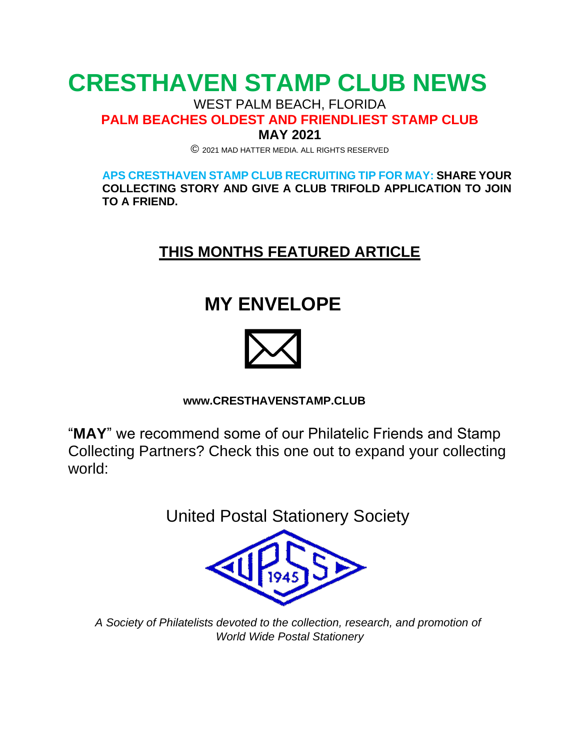# **CRESTHAVEN STAMP CLUB NEWS**

WEST PALM BEACH, FLORIDA

**PALM BEACHES OLDEST AND FRIENDLIEST STAMP CLUB**

**MAY 2021**

© <sup>2021</sup> MAD HATTER MEDIA. ALL RIGHTS RESERVED

**APS CRESTHAVEN STAMP CLUB RECRUITING TIP FOR MAY: SHARE YOUR COLLECTING STORY AND GIVE A CLUB TRIFOLD APPLICATION TO JOIN TO A FRIEND.**

### **THIS MONTHS FEATURED ARTICLE**

## **MY ENVELOPE**



### **[www.CRESTHAVENSTAMP.CLUB](http://www.cresthavenstamp.club/)**

"**MAY**" we recommend some of our Philatelic Friends and Stamp Collecting Partners? Check this one out to expand your collecting world:

United Postal Stationery Society



*A Society of Philatelists devoted to the collection, research, and promotion of World Wide Postal Stationery*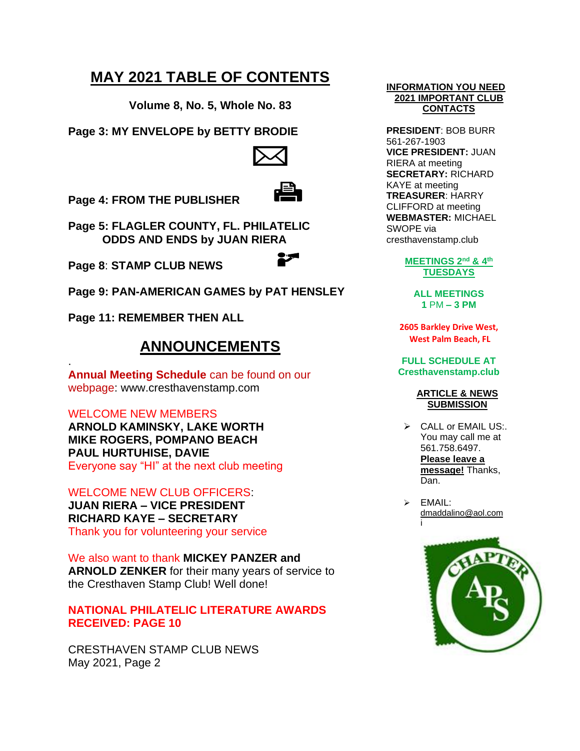### **MAY 2021 TABLE OF CONTENTS**

**Volume 8, No. 5, Whole No. 83**

**Page 3: MY ENVELOPE by BETTY BRODIE**



**Page 4: FROM THE PUBLISHER**

**Page 5: FLAGLER COUNTY, FL. PHILATELIC ODDS AND ENDS by JUAN RIERA**

**Page 8**: **STAMP CLUB NEWS**

**Page 9: PAN-AMERICAN GAMES by PAT HENSLEY**

**Page 11: REMEMBER THEN ALL**

### **ANNOUNCEMENTS**

**Annual Meeting Schedule** can be found on our webpage: [www.cresthavenstamp.com](http://www.cresthavenstamp.com/)

#### WELCOME NEW MEMBERS

.

**ARNOLD KAMINSKY, LAKE WORTH MIKE ROGERS, POMPANO BEACH PAUL HURTUHISE, DAVIE** Everyone say "HI" at the next club meeting

WELCOME NEW CLUB OFFICERS: **JUAN RIERA – VICE PRESIDENT RICHARD KAYE – SECRETARY** Thank you for volunteering your service

We also want to thank **MICKEY PANZER and ARNOLD ZENKER** for their many years of service to the Cresthaven Stamp Club! Well done!

#### **NATIONAL PHILATELIC LITERATURE AWARDS RECEIVED: PAGE 10**

CRESTHAVEN STAMP CLUB NEWS May 2021, Page 2

#### **INFORMATION YOU NEED 2021 IMPORTANT CLUB CONTACTS**

**PRESIDENT**: BOB BURR 561-267-1903 **VICE PRESIDENT:** JUAN RIERA at meeting **SECRETARY:** RICHARD KAYE at meeting **TREASURER**: HARRY CLIFFORD at meeting **WEBMASTER:** MICHAEL SWOPE via cresthavenstamp.club

> **MEETINGS 2nd & 4th TUESDAYS**

> > **ALL MEETINGS 1** PM **– 3 PM**

**2605 Barkley Drive West, West Palm Beach, FL**

**FULL SCHEDULE AT Cresthavenstamp.club**

#### **ARTICLE & NEWS SUBMISSION**

➢ CALL or EMAIL US:. You may call me at 561.758.6497. **Please leave a message!** Thanks, Dan.

➢ EMAIL: [dmaddalino@aol.com](mailto:dmaddalino@aol.com) i

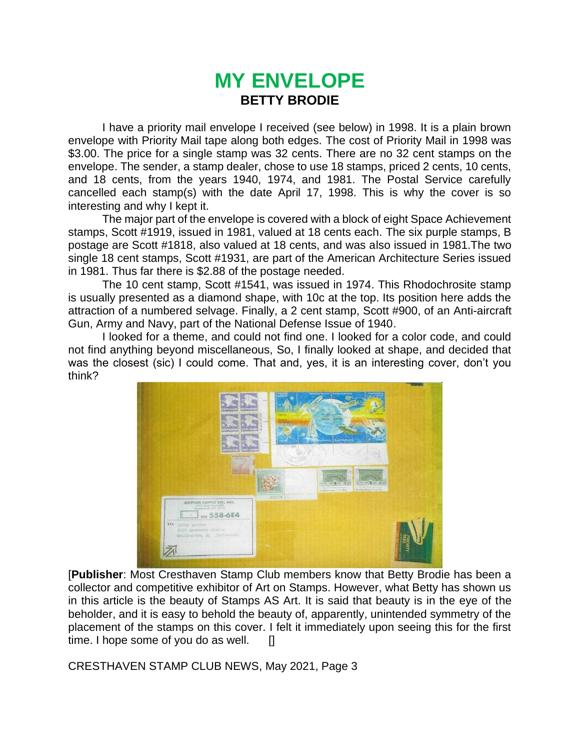### **MY ENVELOPE BETTY BRODIE**

I have a priority mail envelope I received (see below) in 1998. It is a plain brown envelope with Priority Mail tape along both edges. The cost of Priority Mail in 1998 was \$3.00. The price for a single stamp was 32 cents. There are no 32 cent stamps on the envelope. The sender, a stamp dealer, chose to use 18 stamps, priced 2 cents, 10 cents, and 18 cents, from the years 1940, 1974, and 1981. The Postal Service carefully cancelled each stamp(s) with the date April 17, 1998. This is why the cover is so interesting and why I kept it.

The major part of the envelope is covered with a block of eight Space Achievement stamps, Scott #1919, issued in 1981, valued at 18 cents each. The six purple stamps, B postage are Scott #1818, also valued at 18 cents, and was also issued in 1981.The two single 18 cent stamps, Scott #1931, are part of the American Architecture Series issued in 1981. Thus far there is \$2.88 of the postage needed.

The 10 cent stamp, Scott #1541, was issued in 1974. This Rhodochrosite stamp is usually presented as a diamond shape, with 10c at the top. Its position here adds the attraction of a numbered selvage. Finally, a 2 cent stamp, Scott #900, of an Anti-aircraft Gun, Army and Navy, part of the National Defense Issue of 1940.

I looked for a theme, and could not find one. I looked for a color code, and could not find anything beyond miscellaneous, So, I finally looked at shape, and decided that was the closest (sic) I could come. That and, yes, it is an interesting cover, don't you think?



[**Publisher**: Most Cresthaven Stamp Club members know that Betty Brodie has been a collector and competitive exhibitor of Art on Stamps. However, what Betty has shown us in this article is the beauty of Stamps AS Art. It is said that beauty is in the eye of the beholder, and it is easy to behold the beauty of, apparently, unintended symmetry of the placement of the stamps on this cover. I felt it immediately upon seeing this for the first time. I hope some of you do as well.  $\Box$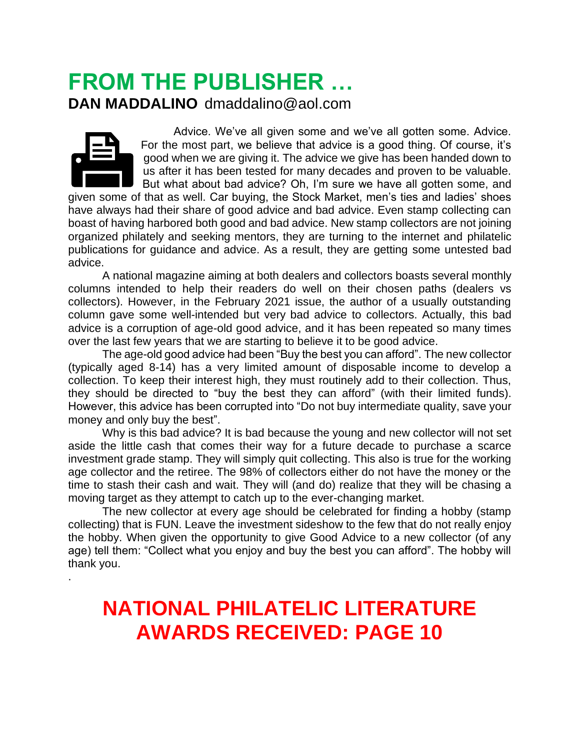## **FROM THE PUBLISHER … DAN MADDALINO** dmaddalino@aol.com



.

 Advice. We've all given some and we've all gotten some. Advice. For the most part, we believe that advice is a good thing. Of course, it's good when we are giving it. The advice we give has been handed down to us after it has been tested for many decades and proven to be valuable. But what about bad advice? Oh, I'm sure we have all gotten some, and

given some of that as well. Car buying, the Stock Market, men's ties and ladies' shoes have always had their share of good advice and bad advice. Even stamp collecting can boast of having harbored both good and bad advice. New stamp collectors are not joining organized philately and seeking mentors, they are turning to the internet and philatelic publications for guidance and advice. As a result, they are getting some untested bad advice.

A national magazine aiming at both dealers and collectors boasts several monthly columns intended to help their readers do well on their chosen paths (dealers vs collectors). However, in the February 2021 issue, the author of a usually outstanding column gave some well-intended but very bad advice to collectors. Actually, this bad advice is a corruption of age-old good advice, and it has been repeated so many times over the last few years that we are starting to believe it to be good advice.

The age-old good advice had been "Buy the best you can afford". The new collector (typically aged 8-14) has a very limited amount of disposable income to develop a collection. To keep their interest high, they must routinely add to their collection. Thus, they should be directed to "buy the best they can afford" (with their limited funds). However, this advice has been corrupted into "Do not buy intermediate quality, save your money and only buy the best".

Why is this bad advice? It is bad because the young and new collector will not set aside the little cash that comes their way for a future decade to purchase a scarce investment grade stamp. They will simply quit collecting. This also is true for the working age collector and the retiree. The 98% of collectors either do not have the money or the time to stash their cash and wait. They will (and do) realize that they will be chasing a moving target as they attempt to catch up to the ever-changing market.

The new collector at every age should be celebrated for finding a hobby (stamp collecting) that is FUN. Leave the investment sideshow to the few that do not really enjoy the hobby. When given the opportunity to give Good Advice to a new collector (of any age) tell them: "Collect what you enjoy and buy the best you can afford". The hobby will thank you.

# **NATIONAL PHILATELIC LITERATURE AWARDS RECEIVED: PAGE 10**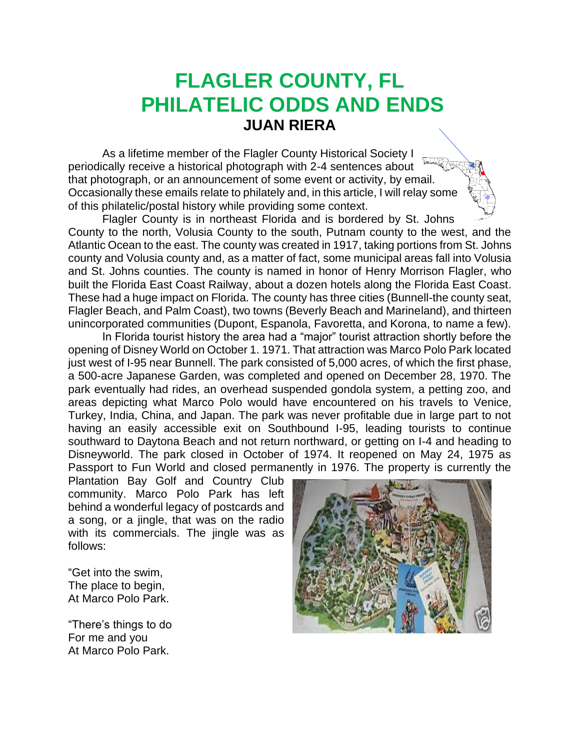## **FLAGLER COUNTY, FL PHILATELIC ODDS AND ENDS JUAN RIERA**

As a lifetime member of the Flagler County Historical Society I periodically receive a historical photograph with 2-4 sentences about that photograph, or an announcement of some event or activity, by email. Occasionally these emails relate to philately and, in this article, I will relay some of this philatelic/postal history while providing some context.

Flagler County is in northeast Florida and is bordered by St. Johns County to the north, Volusia County to the south, Putnam county to the west, and the Atlantic Ocean to the east. The county was created in 1917, taking portions from St. Johns county and Volusia county and, as a matter of fact, some municipal areas fall into Volusia and St. Johns counties. The county is named in honor of Henry Morrison Flagler, who built the Florida East Coast Railway, about a dozen hotels along the Florida East Coast. These had a huge impact on Florida. The county has three cities (Bunnell-the county seat, Flagler Beach, and Palm Coast), two towns (Beverly Beach and Marineland), and thirteen unincorporated communities (Dupont, Espanola, Favoretta, and Korona, to name a few).

In Florida tourist history the area had a "major" tourist attraction shortly before the opening of Disney World on October 1. 1971. That attraction was Marco Polo Park located just west of I-95 near Bunnell. The park consisted of 5,000 acres, of which the first phase, a 500-acre Japanese Garden, was completed and opened on December 28, 1970. The park eventually had rides, an overhead suspended gondola system, a petting zoo, and areas depicting what Marco Polo would have encountered on his travels to Venice, Turkey, India, China, and Japan. The park was never profitable due in large part to not having an easily accessible exit on Southbound I-95, leading tourists to continue southward to Daytona Beach and not return northward, or getting on I-4 and heading to Disneyworld. The park closed in October of 1974. It reopened on May 24, 1975 as Passport to Fun World and closed permanently in 1976. The property is currently the

Plantation Bay Golf and Country Club community. Marco Polo Park has left behind a wonderful legacy of postcards and a song, or a jingle, that was on the radio with its commercials. The jingle was as follows:

"Get into the swim, The place to begin, At Marco Polo Park.

"There's things to do For me and you At Marco Polo Park.

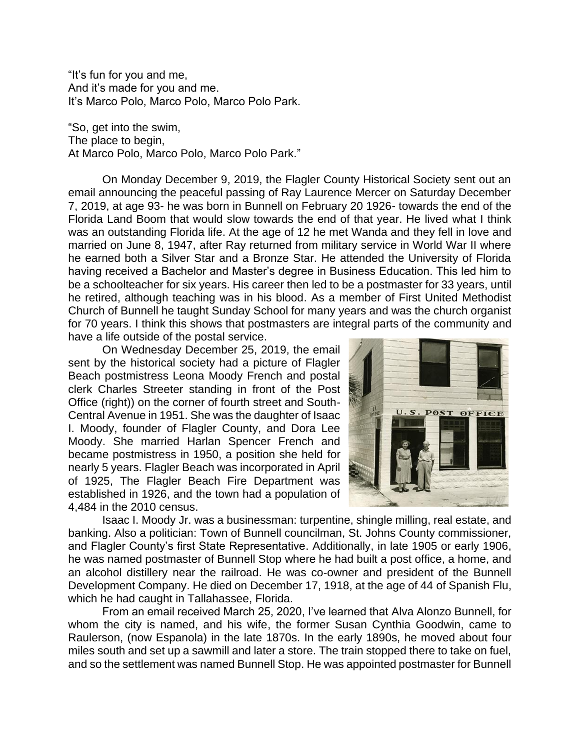"It's fun for you and me, And it's made for you and me. It's Marco Polo, Marco Polo, Marco Polo Park.

"So, get into the swim, The place to begin, At Marco Polo, Marco Polo, Marco Polo Park."

On Monday December 9, 2019, the Flagler County Historical Society sent out an email announcing the peaceful passing of Ray Laurence Mercer on Saturday December 7, 2019, at age 93- he was born in Bunnell on February 20 1926- towards the end of the Florida Land Boom that would slow towards the end of that year. He lived what I think was an outstanding Florida life. At the age of 12 he met Wanda and they fell in love and married on June 8, 1947, after Ray returned from military service in World War II where he earned both a Silver Star and a Bronze Star. He attended the University of Florida having received a Bachelor and Master's degree in Business Education. This led him to be a schoolteacher for six years. His career then led to be a postmaster for 33 years, until he retired, although teaching was in his blood. As a member of First United Methodist Church of Bunnell he taught Sunday School for many years and was the church organist for 70 years. I think this shows that postmasters are integral parts of the community and have a life outside of the postal service.

On Wednesday December 25, 2019, the email sent by the historical society had a picture of Flagler Beach postmistress Leona Moody French and postal clerk Charles Streeter standing in front of the Post Office (right)) on the corner of fourth street and South-Central Avenue in 1951. She was the daughter of Isaac I. Moody, founder of Flagler County, and Dora Lee Moody. She married Harlan Spencer French and became postmistress in 1950, a position she held for nearly 5 years. Flagler Beach was incorporated in April of 1925, The Flagler Beach Fire Department was established in 1926, and the town had a population of 4,484 in the 2010 census.



Isaac I. Moody Jr. was a businessman: turpentine, shingle milling, real estate, and banking. Also a politician: Town of Bunnell councilman, St. Johns County commissioner, and Flagler County's first State Representative. Additionally, in late 1905 or early 1906, he was named postmaster of Bunnell Stop where he had built a post office, a home, and an alcohol distillery near the railroad. He was co-owner and president of the Bunnell Development Company. He died on December 17, 1918, at the age of 44 of Spanish Flu, which he had caught in Tallahassee, Florida.

From an email received March 25, 2020, I've learned that Alva Alonzo Bunnell, for whom the city is named, and his wife, the former Susan Cynthia Goodwin, came to Raulerson, (now Espanola) in the late 1870s. In the early 1890s, he moved about four miles south and set up a sawmill and later a store. The train stopped there to take on fuel, and so the settlement was named Bunnell Stop. He was appointed postmaster for Bunnell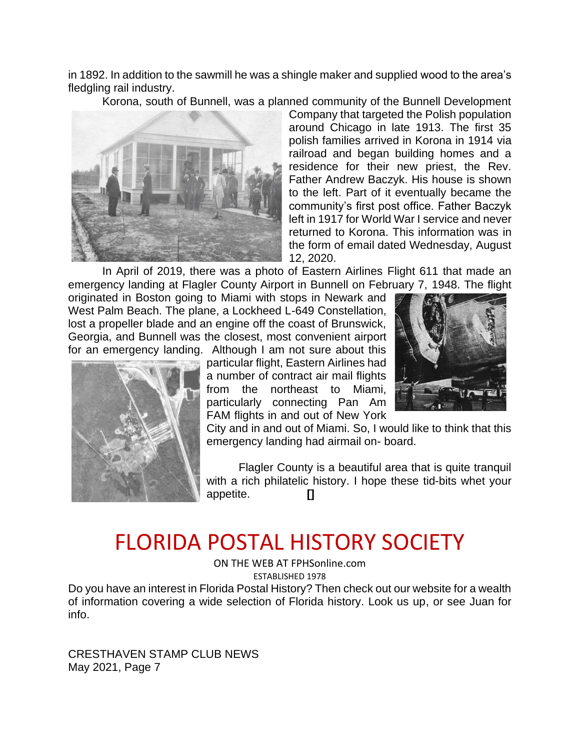in 1892. In addition to the sawmill he was a shingle maker and supplied wood to the area's fledgling rail industry.

Korona, south of Bunnell, was a planned community of the Bunnell Development



Company that targeted the Polish population around Chicago in late 1913. The first 35 polish families arrived in Korona in 1914 via railroad and began building homes and a residence for their new priest, the Rev. Father Andrew Baczyk. His house is shown to the left. Part of it eventually became the community's first post office. Father Baczyk left in 1917 for World War I service and never returned to Korona. This information was in the form of email dated Wednesday, August 12, 2020.

In April of 2019, there was a photo of Eastern Airlines Flight 611 that made an emergency landing at Flagler County Airport in Bunnell on February 7, 1948. The flight

originated in Boston going to Miami with stops in Newark and West Palm Beach. The plane, a Lockheed L-649 Constellation, lost a propeller blade and an engine off the coast of Brunswick, Georgia, and Bunnell was the closest, most convenient airport for an emergency landing. Although I am not sure about this

particular flight, Eastern Airlines had a number of contract air mail flights from the northeast to Miami, particularly connecting Pan Am FAM flights in and out of New York



City and in and out of Miami. So, I would like to think that this emergency landing had airmail on- board.

Flagler County is a beautiful area that is quite tranquil with a rich philatelic history. I hope these tid-bits whet your appetite. **[]**

# FLORIDA POSTAL HISTORY SOCIETY

ON THE WEB AT FPHSonline.com ESTABLISHED 1978

Do you have an interest in Florida Postal History? Then check out our website for a wealth of information covering a wide selection of Florida history. Look us up, or see Juan for info.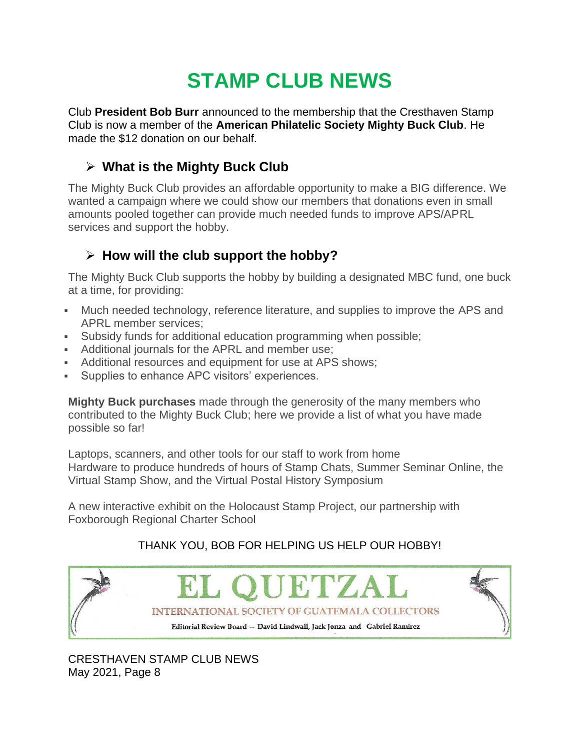# **STAMP CLUB NEWS**

Club **President Bob Burr** announced to the membership that the Cresthaven Stamp Club is now a member of the **American Philatelic Society Mighty Buck Club**. He made the \$12 donation on our behalf.

### ➢ **What is the Mighty Buck Club**

The Mighty Buck Club provides an affordable opportunity to make a BIG difference. We wanted a campaign where we could show our members that donations even in small amounts pooled together can provide much needed funds to improve APS/APRL services and support the hobby.

### ➢ **How will the club support the hobby?**

The Mighty Buck Club supports the hobby by building a designated MBC fund, one buck at a time, for providing:

- Much needed technology, reference literature, and supplies to improve the APS and APRL member services;
- Subsidy funds for additional education programming when possible;
- **Additional journals for the APRL and member use;**
- Additional resources and equipment for use at APS shows;
- **EXECUTE:** Supplies to enhance APC visitors' experiences.

**Mighty Buck purchases** made through the generosity of the many members who contributed to the Mighty Buck Club; here we provide a list of what you have made possible so far!

Laptops, scanners, and other tools for our staff to work from home Hardware to produce hundreds of hours of Stamp Chats, Summer Seminar Online, the Virtual Stamp Show, and the Virtual Postal History Symposium

A new interactive exhibit on the Holocaust Stamp Project, our partnership with Foxborough Regional Charter School

### THANK YOU, BOB FOR HELPING US HELP OUR HOBBY!

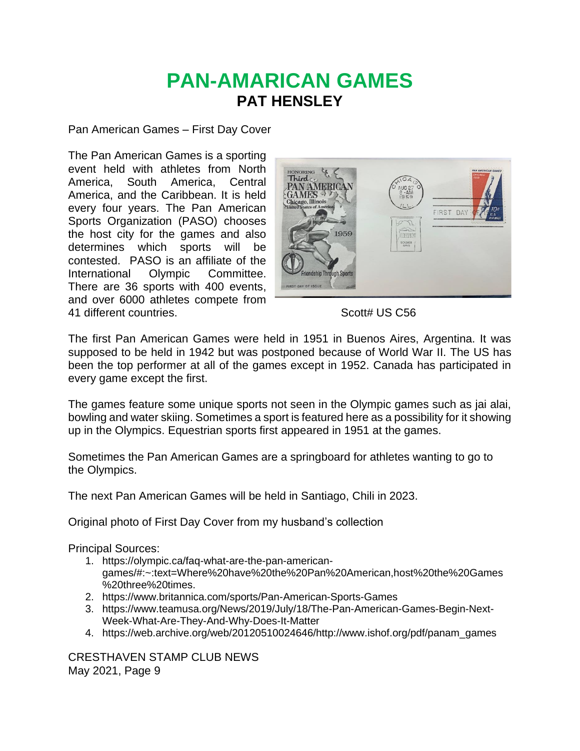## **PAN-AMARICAN GAMES PAT HENSLEY**

Pan American Games – First Day Cover

The Pan American Games is a sporting event held with athletes from North America, South America, Central America, and the Caribbean. It is held every four years. The Pan American Sports Organization (PASO) chooses the host city for the games and also determines which sports will be contested. PASO is an affiliate of the International Olympic Committee. There are 36 sports with 400 events, and over 6000 athletes compete from 41 different countries. Scott# US C56



The first Pan American Games were held in 1951 in Buenos Aires, Argentina. It was supposed to be held in 1942 but was postponed because of World War II. The US has been the top performer at all of the games except in 1952. Canada has participated in every game except the first.

The games feature some unique sports not seen in the Olympic games such as jai alai, bowling and water skiing. Sometimes a sport is featured here as a possibility for it showing up in the Olympics. Equestrian sports first appeared in 1951 at the games.

Sometimes the Pan American Games are a springboard for athletes wanting to go to the Olympics.

The next Pan American Games will be held in Santiago, Chili in 2023.

Original photo of First Day Cover from my husband's collection

Principal Sources:

- 1. [https://olympic.ca/faq-what-are-the-pan-american](https://olympic.ca/faq-what-are-the-pan-american-games/#:~:text=Where%20have%20the%20Pan%20American,host%20the%20Games%20three%20times)[games/#:~:text=Where%20have%20the%20Pan%20American,host%20the%20Games](https://olympic.ca/faq-what-are-the-pan-american-games/#:~:text=Where%20have%20the%20Pan%20American,host%20the%20Games%20three%20times) [%20three%20times.](https://olympic.ca/faq-what-are-the-pan-american-games/#:~:text=Where%20have%20the%20Pan%20American,host%20the%20Games%20three%20times)
- 2. <https://www.britannica.com/sports/Pan-American-Sports-Games>
- 3. [https://www.teamusa.org/News/2019/July/18/The-Pan-American-Games-Begin-Next-](https://www.teamusa.org/News/2019/July/18/The-Pan-American-Games-Begin-Next-Week-What-Are-They-And-Why-Does-It-Matter)[Week-What-Are-They-And-Why-Does-It-Matter](https://www.teamusa.org/News/2019/July/18/The-Pan-American-Games-Begin-Next-Week-What-Are-They-And-Why-Does-It-Matter)
- 4. [https://web.archive.org/web/20120510024646/http://www.ishof.org/pdf/panam\\_games](https://web.archive.org/web/20120510024646/http:/www.ishof.org/pdf/panam_games)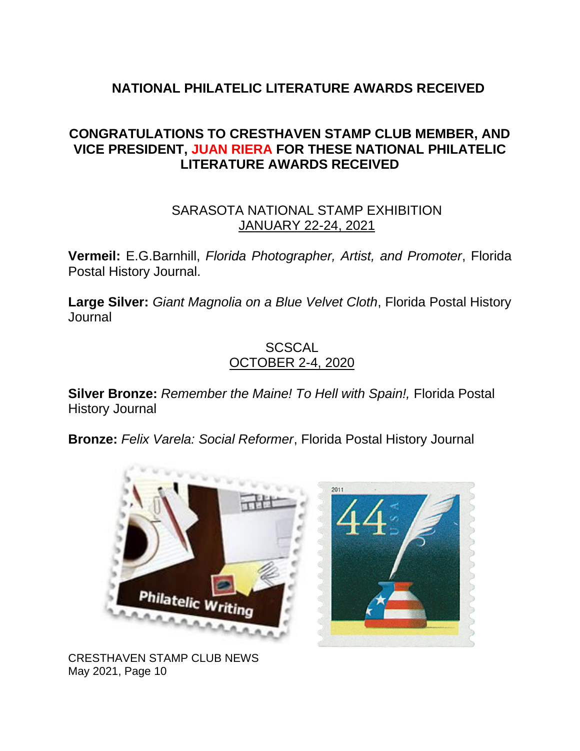### **NATIONAL PHILATELIC LITERATURE AWARDS RECEIVED**

### **CONGRATULATIONS TO CRESTHAVEN STAMP CLUB MEMBER, AND VICE PRESIDENT, JUAN RIERA FOR THESE NATIONAL PHILATELIC LITERATURE AWARDS RECEIVED**

### SARASOTA NATIONAL STAMP EXHIBITION JANUARY 22-24, 2021

**Vermeil:** E.G.Barnhill, *Florida Photographer, Artist, and Promoter*, Florida Postal History Journal.

**Large Silver:** *Giant Magnolia on a Blue Velvet Cloth*, Florida Postal History Journal

### **SCSCAL** OCTOBER 2-4, 2020

**Silver Bronze:** *Remember the Maine! To Hell with Spain!,* Florida Postal History Journal

**Bronze:** *Felix Varela: Social Reformer*, Florida Postal History Journal